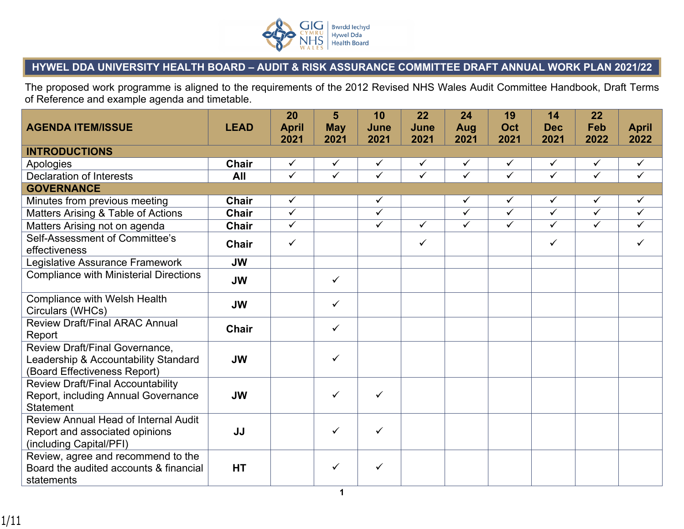

## **HYWEL DDA UNIVERSITY HEALTH BOARD – AUDIT & RISK ASSURANCE COMMITTEE DRAFT ANNUAL WORK PLAN 2021/22**

The proposed work programme is aligned to the requirements of the 2012 Revised NHS Wales Audit Committee Handbook, Draft Terms of Reference and example agenda and timetable.

| <b>AGENDA ITEM/ISSUE</b>                                                                                      | <b>LEAD</b>  | 20<br><b>April</b> | 5<br><b>May</b>         | 10<br>June              | 22<br>June              | 24<br>Aug               | 19<br>Oct               | 14<br><b>Dec</b>        | 22<br>Feb               | <b>April</b> |
|---------------------------------------------------------------------------------------------------------------|--------------|--------------------|-------------------------|-------------------------|-------------------------|-------------------------|-------------------------|-------------------------|-------------------------|--------------|
|                                                                                                               |              | 2021               | 2021                    | 2021                    | 2021                    | 2021                    | 2021                    | 2021                    | 2022                    | 2022         |
| <b>INTRODUCTIONS</b>                                                                                          |              |                    |                         |                         |                         |                         |                         |                         |                         |              |
| Apologies                                                                                                     | <b>Chair</b> | $\checkmark$       | $\checkmark$            | $\checkmark$            | $\checkmark$            | $\checkmark$            | $\checkmark$            | $\checkmark$            | $\checkmark$            | $\checkmark$ |
| <b>Declaration of Interests</b>                                                                               | All          | $\checkmark$       | $\overline{\checkmark}$ | $\overline{\checkmark}$ | $\overline{\checkmark}$ | $\overline{\checkmark}$ | $\overline{\checkmark}$ | $\overline{\checkmark}$ | $\overline{\checkmark}$ | $\checkmark$ |
| <b>GOVERNANCE</b>                                                                                             |              |                    |                         |                         |                         |                         |                         |                         |                         |              |
| Minutes from previous meeting                                                                                 | <b>Chair</b> | $\checkmark$       |                         | ✓                       |                         | $\checkmark$            | $\checkmark$            | $\checkmark$            | $\checkmark$            | $\checkmark$ |
| Matters Arising & Table of Actions                                                                            | <b>Chair</b> | $\checkmark$       |                         | $\checkmark$            |                         | $\checkmark$            | $\overline{\checkmark}$ | $\overline{\checkmark}$ | $\overline{\checkmark}$ | $\checkmark$ |
| Matters Arising not on agenda                                                                                 | <b>Chair</b> | $\checkmark$       |                         | $\checkmark$            | $\checkmark$            | $\checkmark$            | $\overline{\checkmark}$ | $\checkmark$            | $\checkmark$            | $\checkmark$ |
| Self-Assessment of Committee's<br>effectiveness                                                               | <b>Chair</b> | $\checkmark$       |                         |                         | $\checkmark$            |                         |                         | $\checkmark$            |                         | $\checkmark$ |
| Legislative Assurance Framework                                                                               | <b>JW</b>    |                    |                         |                         |                         |                         |                         |                         |                         |              |
| <b>Compliance with Ministerial Directions</b>                                                                 | <b>JW</b>    |                    | $\checkmark$            |                         |                         |                         |                         |                         |                         |              |
| <b>Compliance with Welsh Health</b><br>Circulars (WHCs)                                                       | <b>JW</b>    |                    | $\checkmark$            |                         |                         |                         |                         |                         |                         |              |
| <b>Review Draft/Final ARAC Annual</b><br>Report                                                               | <b>Chair</b> |                    | $\checkmark$            |                         |                         |                         |                         |                         |                         |              |
| <b>Review Draft/Final Governance,</b><br>Leadership & Accountability Standard<br>(Board Effectiveness Report) | <b>JW</b>    |                    | $\checkmark$            |                         |                         |                         |                         |                         |                         |              |
| <b>Review Draft/Final Accountability</b><br>Report, including Annual Governance<br><b>Statement</b>           | <b>JW</b>    |                    | $\checkmark$            | ✓                       |                         |                         |                         |                         |                         |              |
| <b>Review Annual Head of Internal Audit</b><br>Report and associated opinions<br>(including Capital/PFI)      | JJ           |                    | $\checkmark$            | ✓                       |                         |                         |                         |                         |                         |              |
| Review, agree and recommend to the<br>Board the audited accounts & financial<br>statements                    | <b>HT</b>    |                    | $\checkmark$            | ✓                       |                         |                         |                         |                         |                         |              |
|                                                                                                               |              |                    | 1                       |                         |                         |                         |                         |                         |                         |              |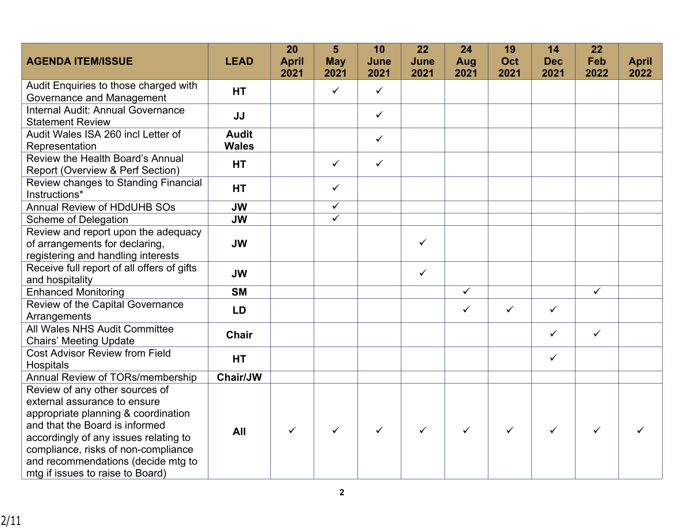|                                                                      |                              | 20           | 5                       | 10           | 22           | 24           | 19           | 14           | 22           |              |
|----------------------------------------------------------------------|------------------------------|--------------|-------------------------|--------------|--------------|--------------|--------------|--------------|--------------|--------------|
| <b>AGENDA ITEM/ISSUE</b>                                             | <b>LEAD</b>                  | <b>April</b> | <b>May</b>              | June         | June         | Aug          | Oct          | <b>Dec</b>   | Feb          | <b>April</b> |
|                                                                      |                              | 2021         | 2021                    | 2021         | 2021         | 2021         | 2021         | 2021         | 2022         | 2022         |
| Audit Enquiries to those charged with<br>Governance and Management   | <b>HT</b>                    |              | $\checkmark$            | $\checkmark$ |              |              |              |              |              |              |
| Internal Audit: Annual Governance<br><b>Statement Review</b>         | JJ                           |              |                         | $\checkmark$ |              |              |              |              |              |              |
| Audit Wales ISA 260 incl Letter of<br>Representation                 | <b>Audit</b><br><b>Wales</b> |              |                         | $\checkmark$ |              |              |              |              |              |              |
| Review the Health Board's Annual<br>Report (Overview & Perf Section) | <b>HT</b>                    |              | $\checkmark$            | $\checkmark$ |              |              |              |              |              |              |
| Review changes to Standing Financial<br>Instructions*                | <b>HT</b>                    |              | $\checkmark$            |              |              |              |              |              |              |              |
| <b>Annual Review of HDdUHB SOs</b>                                   | <b>JW</b>                    |              | $\checkmark$            |              |              |              |              |              |              |              |
| <b>Scheme of Delegation</b>                                          | <b>JW</b>                    |              | $\overline{\checkmark}$ |              |              |              |              |              |              |              |
| Review and report upon the adequacy                                  |                              |              |                         |              |              |              |              |              |              |              |
| of arrangements for declaring,                                       | <b>JW</b>                    |              |                         |              | ✓            |              |              |              |              |              |
| registering and handling interests                                   |                              |              |                         |              |              |              |              |              |              |              |
| Receive full report of all offers of gifts<br>and hospitality        | <b>JW</b>                    |              |                         |              | $\checkmark$ |              |              |              |              |              |
| <b>Enhanced Monitoring</b>                                           | <b>SM</b>                    |              |                         |              |              | $\checkmark$ |              |              | $\checkmark$ |              |
| Review of the Capital Governance<br>Arrangements                     | <b>LD</b>                    |              |                         |              |              | $\checkmark$ | $\checkmark$ | $\checkmark$ |              |              |
| All Wales NHS Audit Committee<br><b>Chairs' Meeting Update</b>       | <b>Chair</b>                 |              |                         |              |              |              |              | $\checkmark$ | $\checkmark$ |              |
| <b>Cost Advisor Review from Field</b><br>Hospitals                   | <b>HT</b>                    |              |                         |              |              |              |              | $\checkmark$ |              |              |
| Annual Review of TORs/membership                                     | Chair/JW                     |              |                         |              |              |              |              |              |              |              |
| Review of any other sources of                                       |                              |              |                         |              |              |              |              |              |              |              |
| external assurance to ensure                                         |                              |              |                         |              |              |              |              |              |              |              |
| appropriate planning & coordination                                  |                              |              |                         |              |              |              |              |              |              |              |
| and that the Board is informed                                       | All                          | $\checkmark$ | ✓                       | $\checkmark$ | ✓            | $\checkmark$ | $\checkmark$ | $\checkmark$ | ✓            |              |
| accordingly of any issues relating to                                |                              |              |                         |              |              |              |              |              |              |              |
| compliance, risks of non-compliance                                  |                              |              |                         |              |              |              |              |              |              |              |
| and recommendations (decide mtg to                                   |                              |              |                         |              |              |              |              |              |              |              |
| mtg if issues to raise to Board)                                     |                              |              |                         |              |              |              |              |              |              |              |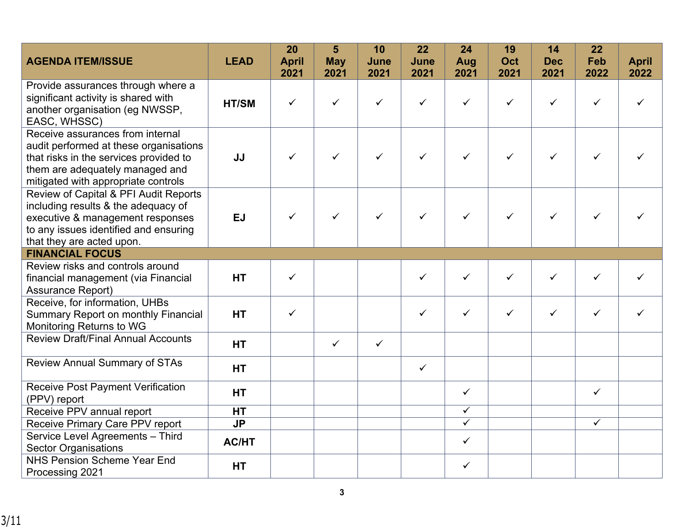| <b>AGENDA ITEM/ISSUE</b>                                                                                                                                                                       | <b>LEAD</b>  | 20<br><b>April</b><br>2021 | 5<br><b>May</b><br>2021 | 10<br>June<br>2021 | 22<br>June<br>2021 | 24<br>Aug<br>2021 | 19<br>Oct<br>2021 | 14<br><b>Dec</b><br>2021 | 22<br>Feb<br>2022 | <b>April</b><br>2022 |
|------------------------------------------------------------------------------------------------------------------------------------------------------------------------------------------------|--------------|----------------------------|-------------------------|--------------------|--------------------|-------------------|-------------------|--------------------------|-------------------|----------------------|
| Provide assurances through where a<br>significant activity is shared with<br>another organisation (eg NWSSP,<br>EASC, WHSSC)                                                                   | HT/SM        | $\checkmark$               | $\checkmark$            | $\checkmark$       | ✓                  | $\checkmark$      | $\checkmark$      | $\checkmark$             | ✓                 |                      |
| Receive assurances from internal<br>audit performed at these organisations<br>that risks in the services provided to<br>them are adequately managed and<br>mitigated with appropriate controls | JJ           | $\checkmark$               | $\checkmark$            | $\checkmark$       | ✓                  | $\checkmark$      | $\checkmark$      | $\checkmark$             | ✓                 |                      |
| Review of Capital & PFI Audit Reports<br>including results & the adequacy of<br>executive & management responses<br>to any issues identified and ensuring<br>that they are acted upon.         | <b>EJ</b>    | $\checkmark$               | $\checkmark$            | $\checkmark$       | $\checkmark$       | $\checkmark$      | $\checkmark$      | ✓                        |                   |                      |
| <b>FINANCIAL FOCUS</b>                                                                                                                                                                         |              |                            |                         |                    |                    |                   |                   |                          |                   |                      |
| Review risks and controls around<br>financial management (via Financial<br><b>Assurance Report)</b>                                                                                            | <b>HT</b>    | $\checkmark$               |                         |                    | $\checkmark$       | $\checkmark$      | $\checkmark$      | $\checkmark$             | ✓                 |                      |
| Receive, for information, UHBs<br><b>Summary Report on monthly Financial</b><br>Monitoring Returns to WG                                                                                       | <b>HT</b>    | $\checkmark$               |                         |                    | ✓                  | $\checkmark$      | $\checkmark$      | $\checkmark$             | ✓                 | ✓                    |
| <b>Review Draft/Final Annual Accounts</b>                                                                                                                                                      | <b>HT</b>    |                            | $\checkmark$            | $\checkmark$       |                    |                   |                   |                          |                   |                      |
| <b>Review Annual Summary of STAs</b>                                                                                                                                                           | <b>HT</b>    |                            |                         |                    | $\checkmark$       |                   |                   |                          |                   |                      |
| <b>Receive Post Payment Verification</b><br>(PPV) report                                                                                                                                       | <b>HT</b>    |                            |                         |                    |                    | $\checkmark$      |                   |                          | $\checkmark$      |                      |
| Receive PPV annual report                                                                                                                                                                      | <b>HT</b>    |                            |                         |                    |                    | $\checkmark$      |                   |                          |                   |                      |
| Receive Primary Care PPV report                                                                                                                                                                | <b>JP</b>    |                            |                         |                    |                    | $\checkmark$      |                   |                          | $\checkmark$      |                      |
| Service Level Agreements - Third<br><b>Sector Organisations</b>                                                                                                                                | <b>AC/HT</b> |                            |                         |                    |                    | $\checkmark$      |                   |                          |                   |                      |
| <b>NHS Pension Scheme Year End</b><br>Processing 2021                                                                                                                                          | <b>HT</b>    |                            |                         |                    |                    | $\checkmark$      |                   |                          |                   |                      |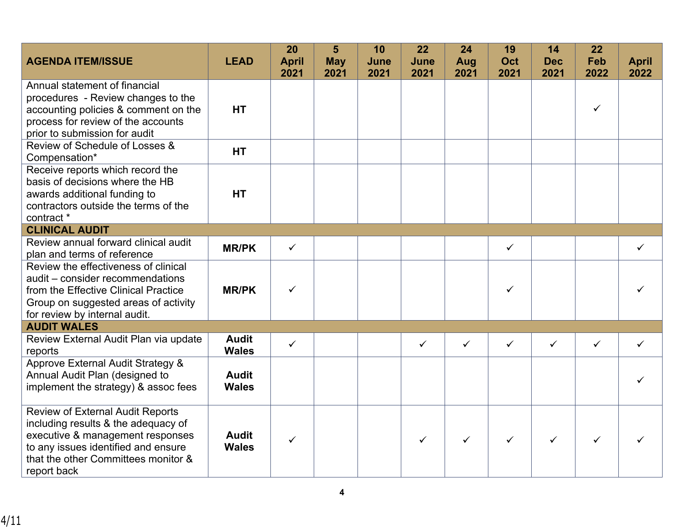|                                                                     |              | 20           | 5          | 10   | 22           | 24           | 19           | 14           | 22           |              |
|---------------------------------------------------------------------|--------------|--------------|------------|------|--------------|--------------|--------------|--------------|--------------|--------------|
| <b>AGENDA ITEM/ISSUE</b>                                            | <b>LEAD</b>  | <b>April</b> | <b>May</b> | June | June         | Aug          | <b>Oct</b>   | <b>Dec</b>   | Feb          | <b>April</b> |
|                                                                     |              | 2021         | 2021       | 2021 | 2021         | 2021         | 2021         | 2021         | 2022         | 2022         |
| Annual statement of financial                                       |              |              |            |      |              |              |              |              |              |              |
| procedures - Review changes to the                                  |              |              |            |      |              |              |              |              |              |              |
| accounting policies & comment on the                                | <b>HT</b>    |              |            |      |              |              |              |              | ✓            |              |
| process for review of the accounts                                  |              |              |            |      |              |              |              |              |              |              |
| prior to submission for audit                                       |              |              |            |      |              |              |              |              |              |              |
| Review of Schedule of Losses &                                      | <b>HT</b>    |              |            |      |              |              |              |              |              |              |
| Compensation*                                                       |              |              |            |      |              |              |              |              |              |              |
| Receive reports which record the<br>basis of decisions where the HB |              |              |            |      |              |              |              |              |              |              |
| awards additional funding to                                        | <b>HT</b>    |              |            |      |              |              |              |              |              |              |
| contractors outside the terms of the                                |              |              |            |      |              |              |              |              |              |              |
| contract *                                                          |              |              |            |      |              |              |              |              |              |              |
| <b>CLINICAL AUDIT</b>                                               |              |              |            |      |              |              |              |              |              |              |
| Review annual forward clinical audit                                | <b>MR/PK</b> | $\checkmark$ |            |      |              |              | ✓            |              |              | ✓            |
| plan and terms of reference                                         |              |              |            |      |              |              |              |              |              |              |
| Review the effectiveness of clinical                                |              |              |            |      |              |              |              |              |              |              |
| audit - consider recommendations                                    |              |              |            |      |              |              |              |              |              |              |
| from the Effective Clinical Practice                                | <b>MR/PK</b> | $\checkmark$ |            |      |              |              | ✓            |              |              |              |
| Group on suggested areas of activity                                |              |              |            |      |              |              |              |              |              |              |
| for review by internal audit.                                       |              |              |            |      |              |              |              |              |              |              |
| <b>AUDIT WALES</b>                                                  |              |              |            |      |              |              |              |              |              |              |
| Review External Audit Plan via update                               | <b>Audit</b> | $\checkmark$ |            |      | $\checkmark$ | $\checkmark$ | $\checkmark$ | $\checkmark$ | $\checkmark$ | ✓            |
| reports                                                             | <b>Wales</b> |              |            |      |              |              |              |              |              |              |
| Approve External Audit Strategy &                                   |              |              |            |      |              |              |              |              |              |              |
| Annual Audit Plan (designed to                                      | <b>Audit</b> |              |            |      |              |              |              |              |              |              |
| implement the strategy) & assoc fees                                | <b>Wales</b> |              |            |      |              |              |              |              |              |              |
| <b>Review of External Audit Reports</b>                             |              |              |            |      |              |              |              |              |              |              |
| including results & the adequacy of                                 |              |              |            |      |              |              |              |              |              |              |
| executive & management responses                                    | <b>Audit</b> | $\checkmark$ |            |      | ✓            | $\checkmark$ | ✓            | ✓            | ✓            |              |
| to any issues identified and ensure                                 | <b>Wales</b> |              |            |      |              |              |              |              |              |              |
| that the other Committees monitor &                                 |              |              |            |      |              |              |              |              |              |              |
| report back                                                         |              |              |            |      |              |              |              |              |              |              |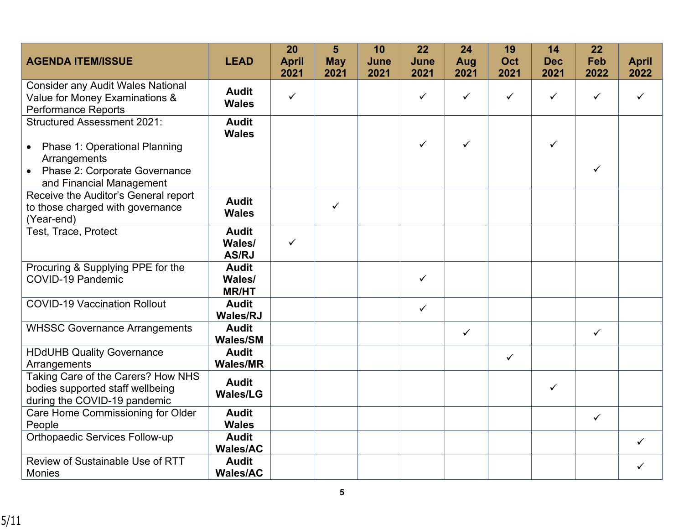|                                                                                                          |                                        | 20           | 5            | 10   | 22           | 24           | 19           | 14         | 22           |              |
|----------------------------------------------------------------------------------------------------------|----------------------------------------|--------------|--------------|------|--------------|--------------|--------------|------------|--------------|--------------|
| <b>AGENDA ITEM/ISSUE</b>                                                                                 | <b>LEAD</b>                            | <b>April</b> | <b>May</b>   | June | June         | Aug          | Oct          | <b>Dec</b> | Feb          | <b>April</b> |
|                                                                                                          |                                        | 2021         | 2021         | 2021 | 2021         | 2021         | 2021         | 2021       | 2022         | 2022         |
| <b>Consider any Audit Wales National</b><br>Value for Money Examinations &<br><b>Performance Reports</b> | <b>Audit</b><br><b>Wales</b>           | $\checkmark$ |              |      | ✓            | $\checkmark$ | ✓            | ✓          | $\checkmark$ | ✓            |
| <b>Structured Assessment 2021:</b>                                                                       | <b>Audit</b><br><b>Wales</b>           |              |              |      |              |              |              |            |              |              |
| • Phase 1: Operational Planning<br>Arrangements                                                          |                                        |              |              |      | ✓            | $\checkmark$ |              | ✓          |              |              |
| Phase 2: Corporate Governance<br>and Financial Management                                                |                                        |              |              |      |              |              |              |            | $\checkmark$ |              |
| Receive the Auditor's General report<br>to those charged with governance<br>(Year-end)                   | <b>Audit</b><br><b>Wales</b>           |              | $\checkmark$ |      |              |              |              |            |              |              |
| Test, Trace, Protect                                                                                     | <b>Audit</b><br>Wales/<br><b>AS/RJ</b> | $\checkmark$ |              |      |              |              |              |            |              |              |
| Procuring & Supplying PPE for the<br><b>COVID-19 Pandemic</b>                                            | <b>Audit</b><br>Wales/<br><b>MR/HT</b> |              |              |      | $\checkmark$ |              |              |            |              |              |
| <b>COVID-19 Vaccination Rollout</b>                                                                      | <b>Audit</b><br><b>Wales/RJ</b>        |              |              |      | $\checkmark$ |              |              |            |              |              |
| <b>WHSSC Governance Arrangements</b>                                                                     | <b>Audit</b><br><b>Wales/SM</b>        |              |              |      |              | $\checkmark$ |              |            | $\checkmark$ |              |
| <b>HDdUHB Quality Governance</b><br>Arrangements                                                         | <b>Audit</b><br><b>Wales/MR</b>        |              |              |      |              |              | $\checkmark$ |            |              |              |
| Taking Care of the Carers? How NHS<br>bodies supported staff wellbeing<br>during the COVID-19 pandemic   | <b>Audit</b><br><b>Wales/LG</b>        |              |              |      |              |              |              | ✓          |              |              |
| Care Home Commissioning for Older<br>People                                                              | <b>Audit</b><br><b>Wales</b>           |              |              |      |              |              |              |            | $\checkmark$ |              |
| Orthopaedic Services Follow-up                                                                           | <b>Audit</b><br><b>Wales/AC</b>        |              |              |      |              |              |              |            |              | ✓            |
| Review of Sustainable Use of RTT<br><b>Monies</b>                                                        | <b>Audit</b><br><b>Wales/AC</b>        |              |              |      |              |              |              |            |              | ✓            |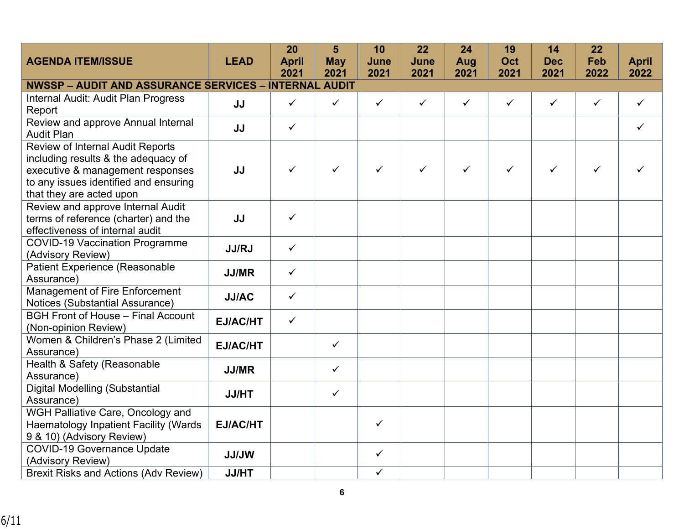|                                                                                                                                                                                         |                 | 20           | 5            | 10                      | 22           | 24           | 19           | 14           | 22           |              |
|-----------------------------------------------------------------------------------------------------------------------------------------------------------------------------------------|-----------------|--------------|--------------|-------------------------|--------------|--------------|--------------|--------------|--------------|--------------|
| <b>AGENDA ITEM/ISSUE</b>                                                                                                                                                                | <b>LEAD</b>     | <b>April</b> | <b>May</b>   | June                    | June         | Aug          | Oct          | <b>Dec</b>   | Feb          | <b>April</b> |
|                                                                                                                                                                                         |                 | 2021         | 2021         | 2021                    | 2021         | 2021         | 2021         | 2021         | 2022         | 2022         |
| <b>NWSSP - AUDIT AND ASSURANCE SERVICES - INTERNAL AUDIT</b>                                                                                                                            |                 |              |              |                         |              |              |              |              |              |              |
| Internal Audit: Audit Plan Progress<br>Report                                                                                                                                           | JJ              | $\checkmark$ | $\checkmark$ | $\checkmark$            | $\checkmark$ | $\checkmark$ | $\checkmark$ | $\checkmark$ | $\checkmark$ | $\checkmark$ |
| Review and approve Annual Internal<br><b>Audit Plan</b>                                                                                                                                 | JJ              | $\checkmark$ |              |                         |              |              |              |              |              | ✓            |
| <b>Review of Internal Audit Reports</b><br>including results & the adequacy of<br>executive & management responses<br>to any issues identified and ensuring<br>that they are acted upon | JJ              | $\checkmark$ | $\checkmark$ | $\checkmark$            | ✓            | $\checkmark$ |              | ✓            | ✓            |              |
| Review and approve Internal Audit<br>terms of reference (charter) and the<br>effectiveness of internal audit                                                                            | JJ              | $\checkmark$ |              |                         |              |              |              |              |              |              |
| <b>COVID-19 Vaccination Programme</b><br>(Advisory Review)                                                                                                                              | <b>JJ/RJ</b>    | $\checkmark$ |              |                         |              |              |              |              |              |              |
| <b>Patient Experience (Reasonable</b><br>Assurance)                                                                                                                                     | <b>JJ/MR</b>    | $\checkmark$ |              |                         |              |              |              |              |              |              |
| Management of Fire Enforcement<br>Notices (Substantial Assurance)                                                                                                                       | <b>JJ/AC</b>    | $\checkmark$ |              |                         |              |              |              |              |              |              |
| <b>BGH Front of House - Final Account</b><br>(Non-opinion Review)                                                                                                                       | <b>EJ/AC/HT</b> | $\checkmark$ |              |                         |              |              |              |              |              |              |
| Women & Children's Phase 2 (Limited<br>Assurance)                                                                                                                                       | <b>EJ/AC/HT</b> |              | $\checkmark$ |                         |              |              |              |              |              |              |
| Health & Safety (Reasonable<br>Assurance)                                                                                                                                               | <b>JJ/MR</b>    |              | $\checkmark$ |                         |              |              |              |              |              |              |
| <b>Digital Modelling (Substantial</b><br>Assurance)                                                                                                                                     | <b>JJ/HT</b>    |              | $\checkmark$ |                         |              |              |              |              |              |              |
| WGH Palliative Care, Oncology and<br><b>Haematology Inpatient Facility (Wards</b><br>9 & 10) (Advisory Review)                                                                          | EJ/AC/HT        |              |              | $\checkmark$            |              |              |              |              |              |              |
| <b>COVID-19 Governance Update</b><br>(Advisory Review)                                                                                                                                  | <b>JJ/JW</b>    |              |              | $\checkmark$            |              |              |              |              |              |              |
| <b>Brexit Risks and Actions (Adv Review)</b>                                                                                                                                            | <b>JJ/HT</b>    |              |              | $\overline{\checkmark}$ |              |              |              |              |              |              |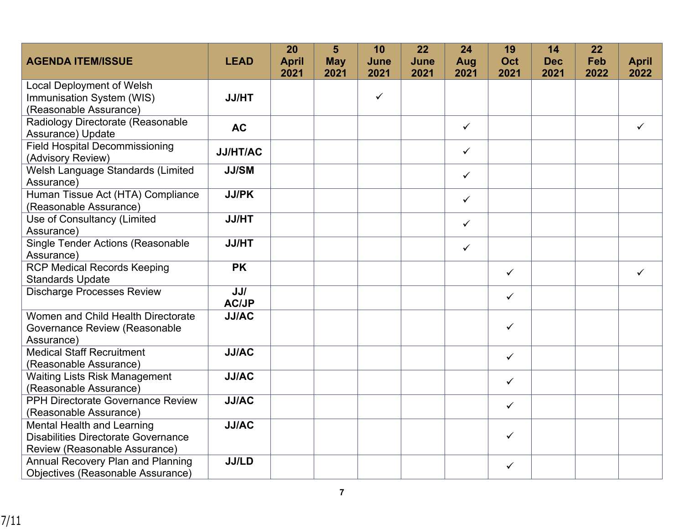|                                                        |                 | 20           | 5          | 10           | 22   | 24           | 19           | 14         | 22   |              |
|--------------------------------------------------------|-----------------|--------------|------------|--------------|------|--------------|--------------|------------|------|--------------|
| <b>AGENDA ITEM/ISSUE</b>                               | <b>LEAD</b>     | <b>April</b> | <b>May</b> | June         | June | Aug          | <b>Oct</b>   | <b>Dec</b> | Feb  | <b>April</b> |
|                                                        |                 | 2021         | 2021       | 2021         | 2021 | 2021         | 2021         | 2021       | 2022 | 2022         |
| <b>Local Deployment of Welsh</b>                       |                 |              |            |              |      |              |              |            |      |              |
| Immunisation System (WIS)                              | <b>JJ/HT</b>    |              |            | $\checkmark$ |      |              |              |            |      |              |
| (Reasonable Assurance)                                 |                 |              |            |              |      |              |              |            |      |              |
| Radiology Directorate (Reasonable<br>Assurance) Update | <b>AC</b>       |              |            |              |      | $\checkmark$ |              |            |      | $\checkmark$ |
| <b>Field Hospital Decommissioning</b>                  | <b>JJ/HT/AC</b> |              |            |              |      | $\checkmark$ |              |            |      |              |
| (Advisory Review)                                      |                 |              |            |              |      |              |              |            |      |              |
| Welsh Language Standards (Limited                      | <b>JJ/SM</b>    |              |            |              |      | $\checkmark$ |              |            |      |              |
| Assurance)                                             |                 |              |            |              |      |              |              |            |      |              |
| Human Tissue Act (HTA) Compliance                      | <b>JJ/PK</b>    |              |            |              |      | $\checkmark$ |              |            |      |              |
| (Reasonable Assurance)                                 |                 |              |            |              |      |              |              |            |      |              |
| Use of Consultancy (Limited                            | <b>JJ/HT</b>    |              |            |              |      | $\checkmark$ |              |            |      |              |
| Assurance)                                             |                 |              |            |              |      |              |              |            |      |              |
| <b>Single Tender Actions (Reasonable</b>               | <b>JJ/HT</b>    |              |            |              |      | $\checkmark$ |              |            |      |              |
| Assurance)                                             |                 |              |            |              |      |              |              |            |      |              |
| <b>RCP Medical Records Keeping</b>                     | <b>PK</b>       |              |            |              |      |              | $\checkmark$ |            |      | $\checkmark$ |
| <b>Standards Update</b>                                |                 |              |            |              |      |              |              |            |      |              |
| <b>Discharge Processes Review</b>                      | JJ/             |              |            |              |      |              | $\checkmark$ |            |      |              |
|                                                        | <b>AC/JP</b>    |              |            |              |      |              |              |            |      |              |
| Women and Child Health Directorate                     | <b>JJ/AC</b>    |              |            |              |      |              |              |            |      |              |
| <b>Governance Review (Reasonable</b>                   |                 |              |            |              |      |              | $\checkmark$ |            |      |              |
| Assurance)                                             |                 |              |            |              |      |              |              |            |      |              |
| <b>Medical Staff Recruitment</b>                       | <b>JJ/AC</b>    |              |            |              |      |              | $\checkmark$ |            |      |              |
| (Reasonable Assurance)                                 |                 |              |            |              |      |              |              |            |      |              |
| <b>Waiting Lists Risk Management</b>                   | <b>JJ/AC</b>    |              |            |              |      |              | $\checkmark$ |            |      |              |
| (Reasonable Assurance)                                 |                 |              |            |              |      |              |              |            |      |              |
| <b>PPH Directorate Governance Review</b>               | <b>JJ/AC</b>    |              |            |              |      |              | $\checkmark$ |            |      |              |
| (Reasonable Assurance)                                 |                 |              |            |              |      |              |              |            |      |              |
| <b>Mental Health and Learning</b>                      | <b>JJ/AC</b>    |              |            |              |      |              |              |            |      |              |
| <b>Disabilities Directorate Governance</b>             |                 |              |            |              |      |              | $\checkmark$ |            |      |              |
| Review (Reasonable Assurance)                          |                 |              |            |              |      |              |              |            |      |              |
| <b>Annual Recovery Plan and Planning</b>               | <b>JJ/LD</b>    |              |            |              |      |              | $\checkmark$ |            |      |              |
| Objectives (Reasonable Assurance)                      |                 |              |            |              |      |              |              |            |      |              |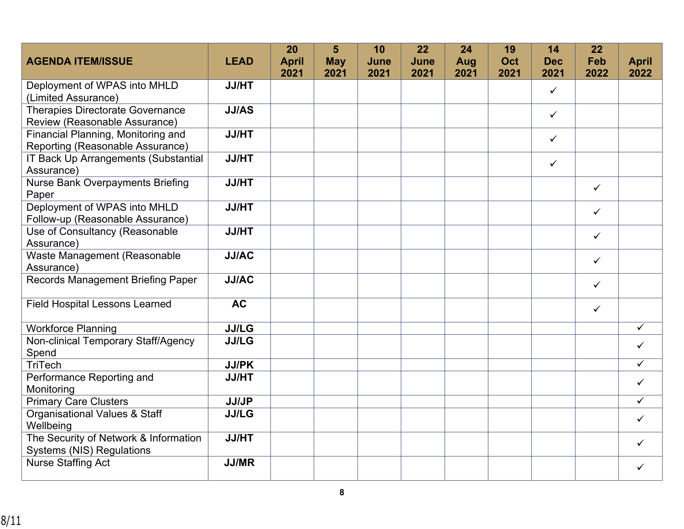|                                                       |              | 20           | 5          | 10   | 22   | 24   | 19   | 14           | 22           |              |
|-------------------------------------------------------|--------------|--------------|------------|------|------|------|------|--------------|--------------|--------------|
| <b>AGENDA ITEM/ISSUE</b>                              | <b>LEAD</b>  | <b>April</b> | <b>May</b> | June | June | Aug  | Oct  | <b>Dec</b>   | Feb          | <b>April</b> |
|                                                       |              | 2021         | 2021       | 2021 | 2021 | 2021 | 2021 | 2021         | 2022         | 2022         |
| Deployment of WPAS into MHLD<br>(Limited Assurance)   | <b>JJ/HT</b> |              |            |      |      |      |      | ✓            |              |              |
| <b>Therapies Directorate Governance</b>               | <b>JJ/AS</b> |              |            |      |      |      |      |              |              |              |
| Review (Reasonable Assurance)                         |              |              |            |      |      |      |      | $\checkmark$ |              |              |
| Financial Planning, Monitoring and                    | <b>JJ/HT</b> |              |            |      |      |      |      | $\checkmark$ |              |              |
| Reporting (Reasonable Assurance)                      |              |              |            |      |      |      |      |              |              |              |
| IT Back Up Arrangements (Substantial                  | <b>JJ/HT</b> |              |            |      |      |      |      | $\checkmark$ |              |              |
| Assurance)                                            |              |              |            |      |      |      |      |              |              |              |
| <b>Nurse Bank Overpayments Briefing</b>               | <b>JJ/HT</b> |              |            |      |      |      |      |              | $\checkmark$ |              |
| Paper                                                 |              |              |            |      |      |      |      |              |              |              |
| Deployment of WPAS into MHLD                          | <b>JJ/HT</b> |              |            |      |      |      |      |              | $\checkmark$ |              |
| Follow-up (Reasonable Assurance)                      |              |              |            |      |      |      |      |              |              |              |
| Use of Consultancy (Reasonable                        | <b>JJ/HT</b> |              |            |      |      |      |      |              | $\checkmark$ |              |
| Assurance)                                            | <b>JJ/AC</b> |              |            |      |      |      |      |              |              |              |
| Waste Management (Reasonable<br>Assurance)            |              |              |            |      |      |      |      |              | $\checkmark$ |              |
| <b>Records Management Briefing Paper</b>              | <b>JJ/AC</b> |              |            |      |      |      |      |              |              |              |
|                                                       |              |              |            |      |      |      |      |              | $\checkmark$ |              |
| <b>Field Hospital Lessons Learned</b>                 | <b>AC</b>    |              |            |      |      |      |      |              | $\checkmark$ |              |
|                                                       |              |              |            |      |      |      |      |              |              |              |
| <b>Workforce Planning</b>                             | <b>JJ/LG</b> |              |            |      |      |      |      |              |              | ✓            |
| Non-clinical Temporary Staff/Agency                   | <b>JJ/LG</b> |              |            |      |      |      |      |              |              | ✓            |
| Spend                                                 |              |              |            |      |      |      |      |              |              |              |
| TriTech                                               | <b>JJ/PK</b> |              |            |      |      |      |      |              |              | ✓            |
| Performance Reporting and                             | <b>JJ/HT</b> |              |            |      |      |      |      |              |              | $\checkmark$ |
| Monitoring                                            |              |              |            |      |      |      |      |              |              |              |
| <b>Primary Care Clusters</b>                          | <b>JJ/JP</b> |              |            |      |      |      |      |              |              | ✓            |
| <b>Organisational Values &amp; Staff</b><br>Wellbeing | <b>JJ/LG</b> |              |            |      |      |      |      |              |              | $\checkmark$ |
| The Security of Network & Information                 | <b>JJ/HT</b> |              |            |      |      |      |      |              |              | ✓            |
| <b>Systems (NIS) Regulations</b>                      |              |              |            |      |      |      |      |              |              |              |
| <b>Nurse Staffing Act</b>                             | <b>JJ/MR</b> |              |            |      |      |      |      |              |              | ✓            |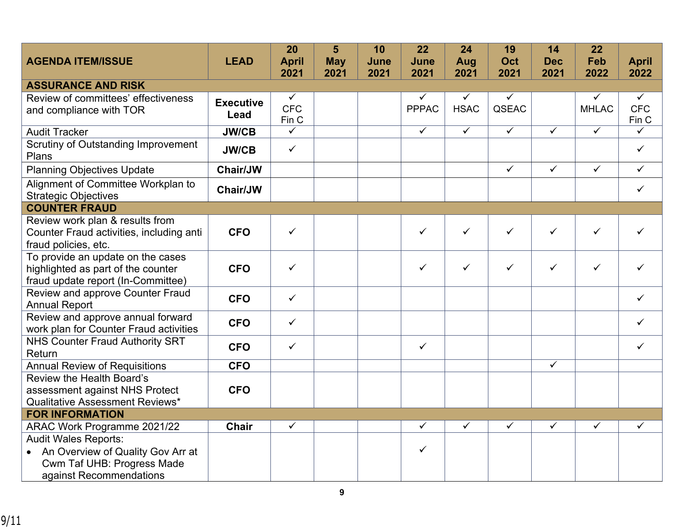| <b>AGENDA ITEM/ISSUE</b>                                                 | <b>LEAD</b>      | 20<br><b>April</b>  | 5<br><b>May</b> | 10<br>June | 22<br>June   | 24<br>Aug    | 19<br><b>Oct</b> | 14<br><b>Dec</b>        | 22<br>Feb    | <b>April</b>        |
|--------------------------------------------------------------------------|------------------|---------------------|-----------------|------------|--------------|--------------|------------------|-------------------------|--------------|---------------------|
|                                                                          |                  | 2021                | 2021            | 2021       | 2021         | 2021         | 2021             | 2021                    | 2022         | 2022                |
| <b>ASSURANCE AND RISK</b>                                                |                  |                     |                 |            |              |              |                  |                         |              |                     |
| Review of committees' effectiveness                                      | <b>Executive</b> | $\checkmark$        |                 |            |              | $\checkmark$ | ✓                |                         |              | ✓                   |
| and compliance with TOR                                                  | Lead             | <b>CFC</b><br>Fin C |                 |            | <b>PPPAC</b> | <b>HSAC</b>  | QSEAC            |                         | <b>MHLAC</b> | <b>CFC</b><br>Fin C |
| <b>Audit Tracker</b>                                                     | <b>JW/CB</b>     | $\checkmark$        |                 |            | $\checkmark$ | $\checkmark$ | $\checkmark$     | $\checkmark$            | $\checkmark$ | ✓                   |
| <b>Scrutiny of Outstanding Improvement</b><br>Plans                      | <b>JW/CB</b>     | $\checkmark$        |                 |            |              |              |                  |                         |              | ✓                   |
| <b>Planning Objectives Update</b>                                        | Chair/JW         |                     |                 |            |              |              | $\checkmark$     | $\checkmark$            | $\checkmark$ | $\checkmark$        |
| Alignment of Committee Workplan to<br><b>Strategic Objectives</b>        | <b>Chair/JW</b>  |                     |                 |            |              |              |                  |                         |              | ✓                   |
| <b>COUNTER FRAUD</b>                                                     |                  |                     |                 |            |              |              |                  |                         |              |                     |
| Review work plan & results from                                          |                  |                     |                 |            |              |              |                  |                         |              |                     |
| Counter Fraud activities, including anti                                 | <b>CFO</b>       | $\checkmark$        |                 |            | $\checkmark$ | $\checkmark$ | ✓                | $\checkmark$            | ✓            | ✓                   |
| fraud policies, etc.                                                     |                  |                     |                 |            |              |              |                  |                         |              |                     |
| To provide an update on the cases                                        | <b>CFO</b>       | $\checkmark$        |                 |            | $\checkmark$ | $\checkmark$ | $\checkmark$     | $\checkmark$            | $\checkmark$ | ✓                   |
| highlighted as part of the counter<br>fraud update report (In-Committee) |                  |                     |                 |            |              |              |                  |                         |              |                     |
| Review and approve Counter Fraud                                         |                  |                     |                 |            |              |              |                  |                         |              |                     |
| <b>Annual Report</b>                                                     | <b>CFO</b>       | $\checkmark$        |                 |            |              |              |                  |                         |              | $\checkmark$        |
| Review and approve annual forward                                        |                  | $\checkmark$        |                 |            |              |              |                  |                         |              | ✓                   |
| work plan for Counter Fraud activities                                   | <b>CFO</b>       |                     |                 |            |              |              |                  |                         |              |                     |
| <b>NHS Counter Fraud Authority SRT</b>                                   | <b>CFO</b>       | $\checkmark$        |                 |            | $\checkmark$ |              |                  |                         |              | ✓                   |
| Return                                                                   |                  |                     |                 |            |              |              |                  |                         |              |                     |
| <b>Annual Review of Requisitions</b>                                     | <b>CFO</b>       |                     |                 |            |              |              |                  | $\overline{\checkmark}$ |              |                     |
| Review the Health Board's                                                |                  |                     |                 |            |              |              |                  |                         |              |                     |
| assessment against NHS Protect                                           | <b>CFO</b>       |                     |                 |            |              |              |                  |                         |              |                     |
| <b>Qualitative Assessment Reviews*</b>                                   |                  |                     |                 |            |              |              |                  |                         |              |                     |
| <b>FOR INFORMATION</b>                                                   |                  | $\checkmark$        |                 |            | $\checkmark$ | $\checkmark$ | $\checkmark$     | $\checkmark$            | ✓            | $\checkmark$        |
| ARAC Work Programme 2021/22                                              | <b>Chair</b>     |                     |                 |            |              |              |                  |                         |              |                     |
| <b>Audit Wales Reports:</b><br>• An Overview of Quality Gov Arr at       |                  |                     |                 |            | $\checkmark$ |              |                  |                         |              |                     |
| <b>Cwm Taf UHB: Progress Made</b>                                        |                  |                     |                 |            |              |              |                  |                         |              |                     |
| against Recommendations                                                  |                  |                     |                 |            |              |              |                  |                         |              |                     |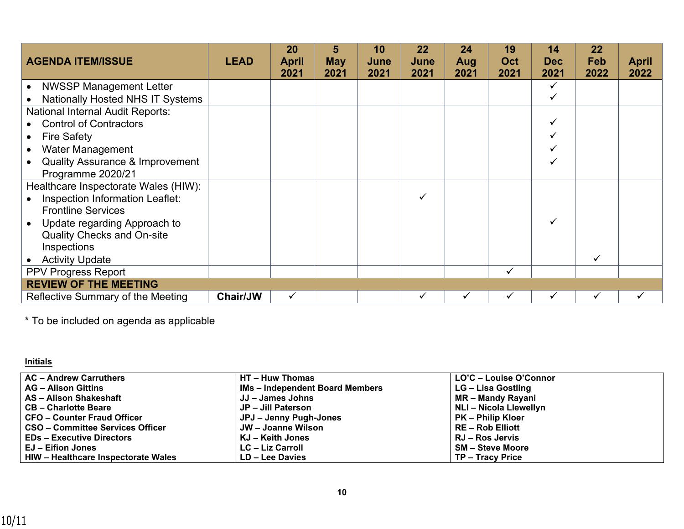| <b>AGENDA ITEM/ISSUE</b>                   | <b>LEAD</b> | 20<br><b>April</b><br>2021 | 5<br><b>May</b><br>2021 | 10<br>June<br>2021 | 22<br>June<br>2021 | 24<br>Aug<br>2021 | 19<br>Oct<br>2021 | 14<br><b>Dec</b><br>2021 | 22<br><b>Feb</b><br>2022 | <b>April</b><br>2022 |
|--------------------------------------------|-------------|----------------------------|-------------------------|--------------------|--------------------|-------------------|-------------------|--------------------------|--------------------------|----------------------|
| <b>NWSSP Management Letter</b>             |             |                            |                         |                    |                    |                   |                   |                          |                          |                      |
| <b>Nationally Hosted NHS IT Systems</b>    |             |                            |                         |                    |                    |                   |                   |                          |                          |                      |
| <b>National Internal Audit Reports:</b>    |             |                            |                         |                    |                    |                   |                   |                          |                          |                      |
| • Control of Contractors                   |             |                            |                         |                    |                    |                   |                   |                          |                          |                      |
| <b>Fire Safety</b>                         |             |                            |                         |                    |                    |                   |                   |                          |                          |                      |
| Water Management                           |             |                            |                         |                    |                    |                   |                   |                          |                          |                      |
| <b>Quality Assurance &amp; Improvement</b> |             |                            |                         |                    |                    |                   |                   |                          |                          |                      |
| Programme 2020/21                          |             |                            |                         |                    |                    |                   |                   |                          |                          |                      |
| Healthcare Inspectorate Wales (HIW):       |             |                            |                         |                    |                    |                   |                   |                          |                          |                      |
| Inspection Information Leaflet:            |             |                            |                         |                    | $\checkmark$       |                   |                   |                          |                          |                      |
| <b>Frontline Services</b>                  |             |                            |                         |                    |                    |                   |                   |                          |                          |                      |
| Update regarding Approach to               |             |                            |                         |                    |                    |                   |                   |                          |                          |                      |
| <b>Quality Checks and On-site</b>          |             |                            |                         |                    |                    |                   |                   |                          |                          |                      |
| Inspections                                |             |                            |                         |                    |                    |                   |                   |                          |                          |                      |
| <b>Activity Update</b>                     |             |                            |                         |                    |                    |                   |                   |                          |                          |                      |
| <b>PPV Progress Report</b>                 |             |                            |                         |                    |                    |                   | ✓                 |                          |                          |                      |
| <b>REVIEW OF THE MEETING</b>               |             |                            |                         |                    |                    |                   |                   |                          |                          |                      |
| Reflective Summary of the Meeting          | Chair/JW    | ✓                          |                         |                    |                    |                   |                   |                          |                          |                      |

\* To be included on agenda as applicable

## **Initials**

| <b>AC - Andrew Carruthers</b>       | HT - Huw Thomas                        | LO'C - Louise O'Connor   |
|-------------------------------------|----------------------------------------|--------------------------|
| <b>AG - Alison Gittins</b>          | <b>IMs - Independent Board Members</b> | LG – Lisa Gostling       |
| AS - Alison Shakeshaft              | JJ – James Johns                       | MR - Mandy Rayani        |
| <b>CB-Charlotte Beare</b>           | JP - Jill Paterson                     | NLI - Nicola Llewellyn   |
| <b>CFO - Counter Fraud Officer</b>  | JPJ - Jenny Pugh-Jones                 | <b>PK – Philip Kloer</b> |
| CSO - Committee Services Officer    | JW – Joanne Wilson                     | <b>RE-Rob Elliott</b>    |
| <b>EDs - Executive Directors</b>    | KJ – Keith Jones                       | RJ – Ros Jervis          |
| <b>EJ - Eifion Jones</b>            | <b>LC – Liz Carroll</b>                | <b>SM-Steve Moore</b>    |
| HIW - Healthcare Inspectorate Wales | LD - Lee Davies                        | TP - Tracy Price         |